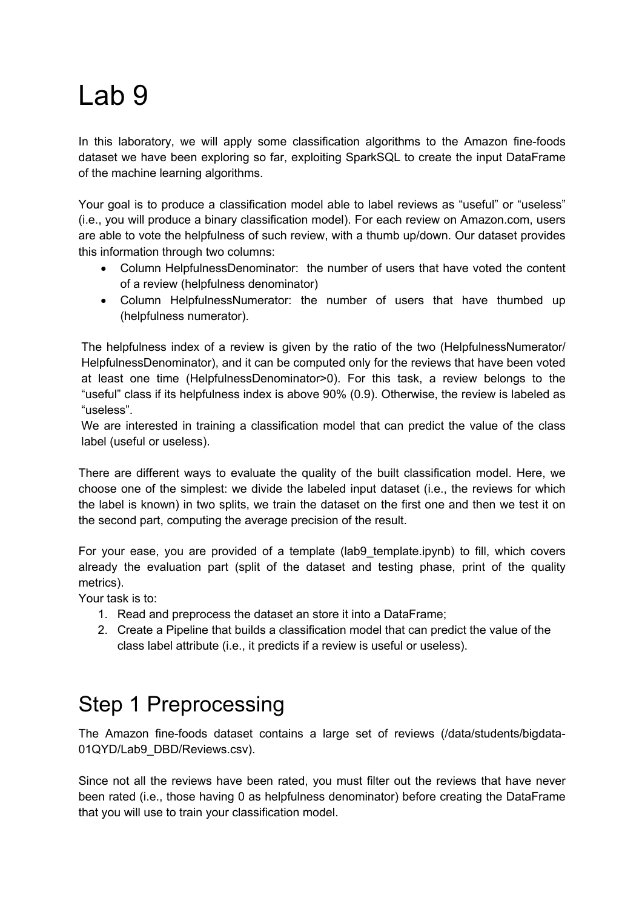# Lab 9

In this laboratory, we will apply some classification algorithms to the Amazon fine-foods dataset we have been exploring so far, exploiting SparkSQL to create the input DataFrame of the machine learning algorithms.

Your goal is to produce a classification model able to label reviews as "useful" or "useless" (i.e., you will produce a binary classification model). For each review on Amazon.com, users are able to vote the helpfulness of such review, with a thumb up/down. Our dataset provides this information through two columns:

- Column HelpfulnessDenominator: the number of users that have voted the content of a review (helpfulness denominator)
- Column HelpfulnessNumerator: the number of users that have thumbed up (helpfulness numerator).

The helpfulness index of a review is given by the ratio of the two (HelpfulnessNumerator/ HelpfulnessDenominator), and it can be computed only for the reviews that have been voted at least one time (HelpfulnessDenominator>0). For this task, a review belongs to the "useful" class if its helpfulness index is above 90% (0.9). Otherwise, the review is labeled as "useless".

We are interested in training a classification model that can predict the value of the class label (useful or useless).

There are different ways to evaluate the quality of the built classification model. Here, we choose one of the simplest: we divide the labeled input dataset (i.e., the reviews for which the label is known) in two splits, we train the dataset on the first one and then we test it on the second part, computing the average precision of the result.

For your ease, you are provided of a template (lab9\_template.ipynb) to fill, which covers already the evaluation part (split of the dataset and testing phase, print of the quality metrics).

Your task is to:

- 1. Read and preprocess the dataset an store it into a DataFrame;
- 2. Create a Pipeline that builds a classification model that can predict the value of the class label attribute (i.e., it predicts if a review is useful or useless).

### Step 1 Preprocessing

The Amazon fine-foods dataset contains a large set of reviews (/data/students/bigdata-01QYD/Lab9\_DBD/Reviews.csv).

Since not all the reviews have been rated, you must filter out the reviews that have never been rated (i.e., those having 0 as helpfulness denominator) before creating the DataFrame that you will use to train your classification model.